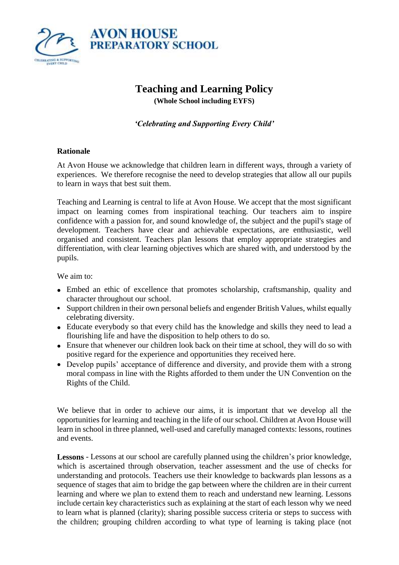

# **Teaching and Learning Policy**

**(Whole School including EYFS)**

#### *'Celebrating and Supporting Every Child'*

#### **Rationale**

At Avon House we acknowledge that children learn in different ways, through a variety of experiences. We therefore recognise the need to develop strategies that allow all our pupils to learn in ways that best suit them.

Teaching and Learning is central to life at Avon House. We accept that the most significant impact on learning comes from inspirational teaching. Our teachers aim to inspire confidence with a passion for, and sound knowledge of, the subject and the pupil's stage of development. Teachers have clear and achievable expectations, are enthusiastic, well organised and consistent. Teachers plan lessons that employ appropriate strategies and differentiation, with clear learning objectives which are shared with, and understood by the pupils.

We aim to:

- Embed an ethic of excellence that promotes scholarship, craftsmanship, quality and character throughout our school.
- Support children in their own personal beliefs and engender British Values, whilst equally celebrating diversity.
- Educate everybody so that every child has the knowledge and skills they need to lead a flourishing life and have the disposition to help others to do so.
- Ensure that whenever our children look back on their time at school, they will do so with positive regard for the experience and opportunities they received here.
- Develop pupils' acceptance of difference and diversity, and provide them with a strong moral compass in line with the Rights afforded to them under the UN Convention on the Rights of the Child.

We believe that in order to achieve our aims, it is important that we develop all the opportunities for learning and teaching in the life of our school. Children at Avon House will learn in school in three planned, well-used and carefully managed contexts: lessons, routines and events.

**Lessons** - Lessons at our school are carefully planned using the children's prior knowledge, which is ascertained through observation, teacher assessment and the use of checks for understanding and protocols. Teachers use their knowledge to backwards plan lessons as a sequence of stages that aim to bridge the gap between where the children are in their current learning and where we plan to extend them to reach and understand new learning. Lessons include certain key characteristics such as explaining at the start of each lesson why we need to learn what is planned (clarity); sharing possible success criteria or steps to success with the children; grouping children according to what type of learning is taking place (not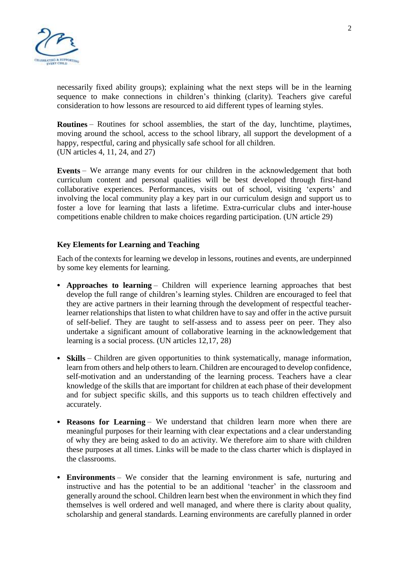

necessarily fixed ability groups); explaining what the next steps will be in the learning sequence to make connections in children's thinking (clarity). Teachers give careful consideration to how lessons are resourced to aid different types of learning styles.

**Routines** – Routines for school assemblies, the start of the day, lunchtime, playtimes, moving around the school, access to the school library, all support the development of a happy, respectful, caring and physically safe school for all children. (UN articles 4, 11, 24, and 27)

**Events** – We arrange many events for our children in the acknowledgement that both curriculum content and personal qualities will be best developed through first-hand collaborative experiences. Performances, visits out of school, visiting 'experts' and involving the local community play a key part in our curriculum design and support us to foster a love for learning that lasts a lifetime. Extra-curricular clubs and inter-house competitions enable children to make choices regarding participation. (UN article 29)

#### **Key Elements for Learning and Teaching**

Each of the contexts for learning we develop in lessons, routines and events, are underpinned by some key elements for learning.

- **Approaches to learning** Children will experience learning approaches that best develop the full range of children's learning styles. Children are encouraged to feel that they are active partners in their learning through the development of respectful teacherlearner relationships that listen to what children have to say and offer in the active pursuit of self-belief. They are taught to self-assess and to assess peer on peer. They also undertake a significant amount of collaborative learning in the acknowledgement that learning is a social process. (UN articles 12,17, 28)
- **Skills** Children are given opportunities to think systematically, manage information, learn from others and help others to learn. Children are encouraged to develop confidence, self-motivation and an understanding of the learning process. Teachers have a clear knowledge of the skills that are important for children at each phase of their development and for subject specific skills, and this supports us to teach children effectively and accurately.
- **Reasons for Learning** We understand that children learn more when there are meaningful purposes for their learning with clear expectations and a clear understanding of why they are being asked to do an activity. We therefore aim to share with children these purposes at all times. Links will be made to the class charter which is displayed in the classrooms.
- **Environments** We consider that the learning environment is safe, nurturing and instructive and has the potential to be an additional 'teacher' in the classroom and generally around the school. Children learn best when the environment in which they find themselves is well ordered and well managed, and where there is clarity about quality, scholarship and general standards. Learning environments are carefully planned in order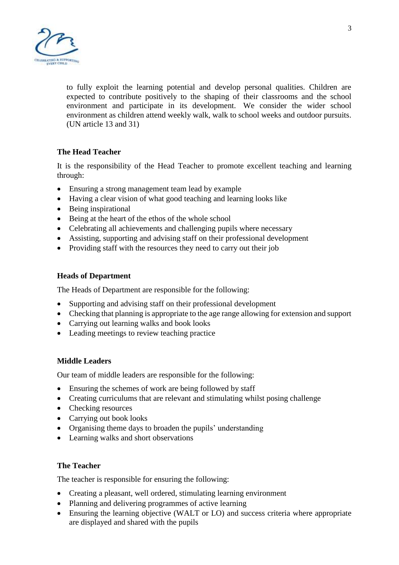

to fully exploit the learning potential and develop personal qualities. Children are expected to contribute positively to the shaping of their classrooms and the school environment and participate in its development. We consider the wider school environment as children attend weekly walk, walk to school weeks and outdoor pursuits. (UN article 13 and 31)

## **The Head Teacher**

It is the responsibility of the Head Teacher to promote excellent teaching and learning through:

- Ensuring a strong management team lead by example
- Having a clear vision of what good teaching and learning looks like
- Being inspirational
- Being at the heart of the ethos of the whole school
- Celebrating all achievements and challenging pupils where necessary
- Assisting, supporting and advising staff on their professional development
- Providing staff with the resources they need to carry out their job

#### **Heads of Department**

The Heads of Department are responsible for the following:

- Supporting and advising staff on their professional development
- Checking that planning is appropriate to the age range allowing for extension and support
- Carrying out learning walks and book looks
- Leading meetings to review teaching practice

#### **Middle Leaders**

Our team of middle leaders are responsible for the following:

- Ensuring the schemes of work are being followed by staff
- Creating curriculums that are relevant and stimulating whilst posing challenge
- Checking resources
- Carrying out book looks
- Organising theme days to broaden the pupils' understanding
- Learning walks and short observations

#### **The Teacher**

The teacher is responsible for ensuring the following:

- Creating a pleasant, well ordered, stimulating learning environment
- Planning and delivering programmes of active learning
- Ensuring the learning objective (WALT or LO) and success criteria where appropriate are displayed and shared with the pupils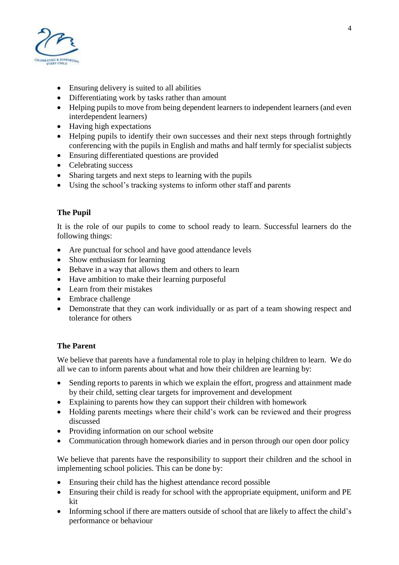

- Ensuring delivery is suited to all abilities
- Differentiating work by tasks rather than amount
- Helping pupils to move from being dependent learners to independent learners (and even interdependent learners)
- Having high expectations
- Helping pupils to identify their own successes and their next steps through fortnightly conferencing with the pupils in English and maths and half termly for specialist subjects
- Ensuring differentiated questions are provided
- Celebrating success
- Sharing targets and next steps to learning with the pupils
- Using the school's tracking systems to inform other staff and parents

# **The Pupil**

It is the role of our pupils to come to school ready to learn. Successful learners do the following things:

- Are punctual for school and have good attendance levels
- Show enthusiasm for learning
- Behave in a way that allows them and others to learn
- Have ambition to make their learning purposeful
- Learn from their mistakes
- Embrace challenge
- Demonstrate that they can work individually or as part of a team showing respect and tolerance for others

## **The Parent**

We believe that parents have a fundamental role to play in helping children to learn. We do all we can to inform parents about what and how their children are learning by:

- Sending reports to parents in which we explain the effort, progress and attainment made by their child, setting clear targets for improvement and development
- Explaining to parents how they can support their children with homework
- Holding parents meetings where their child's work can be reviewed and their progress discussed
- Providing information on our school website
- Communication through homework diaries and in person through our open door policy

We believe that parents have the responsibility to support their children and the school in implementing school policies. This can be done by:

- Ensuring their child has the highest attendance record possible
- Ensuring their child is ready for school with the appropriate equipment, uniform and PE kit
- Informing school if there are matters outside of school that are likely to affect the child's performance or behaviour